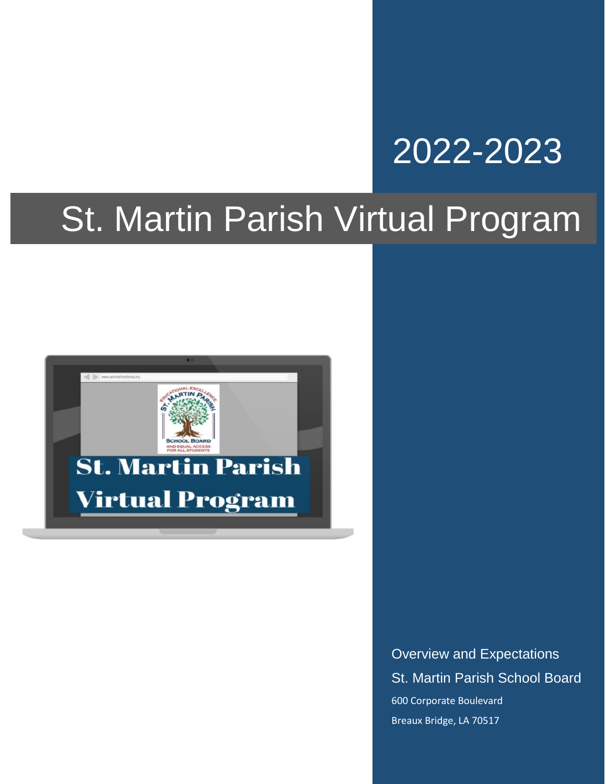# 2022-2023

# St. Martin Parish Virtual Program



Overview and Expectations St. Martin Parish School Board 600 Corporate Boulevard Breaux Bridge, LA 70517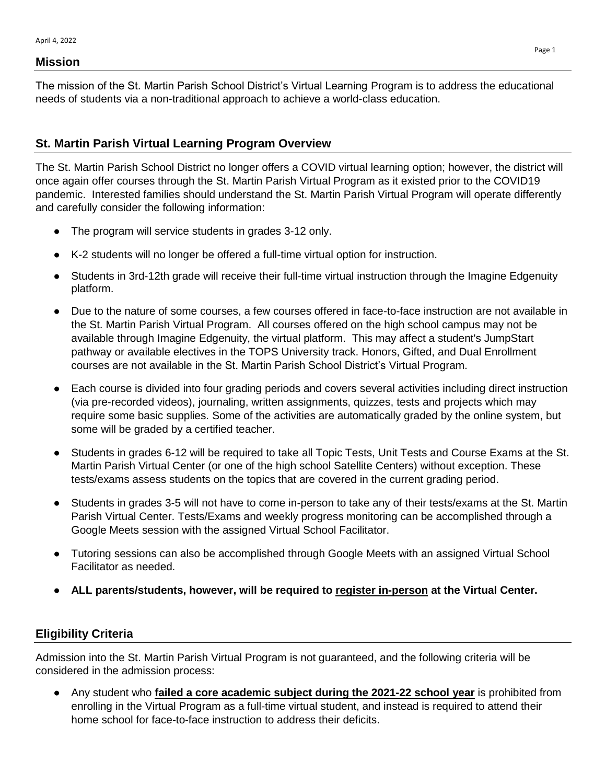#### **Mission**

The mission of the St. Martin Parish School District's Virtual Learning Program is to address the educational needs of students via a non-traditional approach to achieve a world-class education.

#### **St. Martin Parish Virtual Learning Program Overview**

The St. Martin Parish School District no longer offers a COVID virtual learning option; however, the district will once again offer courses through the St. Martin Parish Virtual Program as it existed prior to the COVID19 pandemic. Interested families should understand the St. Martin Parish Virtual Program will operate differently and carefully consider the following information:

- The program will service students in grades 3-12 only.
- K-2 students will no longer be offered a full-time virtual option for instruction.
- Students in 3rd-12th grade will receive their full-time virtual instruction through the Imagine Edgenuity platform.
- Due to the nature of some courses, a few courses offered in face-to-face instruction are not available in the St. Martin Parish Virtual Program. All courses offered on the high school campus may not be available through Imagine Edgenuity, the virtual platform. This may affect a student's JumpStart pathway or available electives in the TOPS University track. Honors, Gifted, and Dual Enrollment courses are not available in the St. Martin Parish School District's Virtual Program.
- Each course is divided into four grading periods and covers several activities including direct instruction (via pre-recorded videos), journaling, written assignments, quizzes, tests and projects which may require some basic supplies. Some of the activities are automatically graded by the online system, but some will be graded by a certified teacher.
- Students in grades 6-12 will be required to take all Topic Tests, Unit Tests and Course Exams at the St. Martin Parish Virtual Center (or one of the high school Satellite Centers) without exception. These tests/exams assess students on the topics that are covered in the current grading period.
- Students in grades 3-5 will not have to come in-person to take any of their tests/exams at the St. Martin Parish Virtual Center. Tests/Exams and weekly progress monitoring can be accomplished through a Google Meets session with the assigned Virtual School Facilitator.
- Tutoring sessions can also be accomplished through Google Meets with an assigned Virtual School Facilitator as needed.
- **ALL parents/students, however, will be required to register in-person at the Virtual Center.**

#### **Eligibility Criteria**

Admission into the St. Martin Parish Virtual Program is not guaranteed, and the following criteria will be considered in the admission process:

● Any student who **failed a core academic subject during the 2021-22 school year** is prohibited from enrolling in the Virtual Program as a full-time virtual student, and instead is required to attend their home school for face-to-face instruction to address their deficits.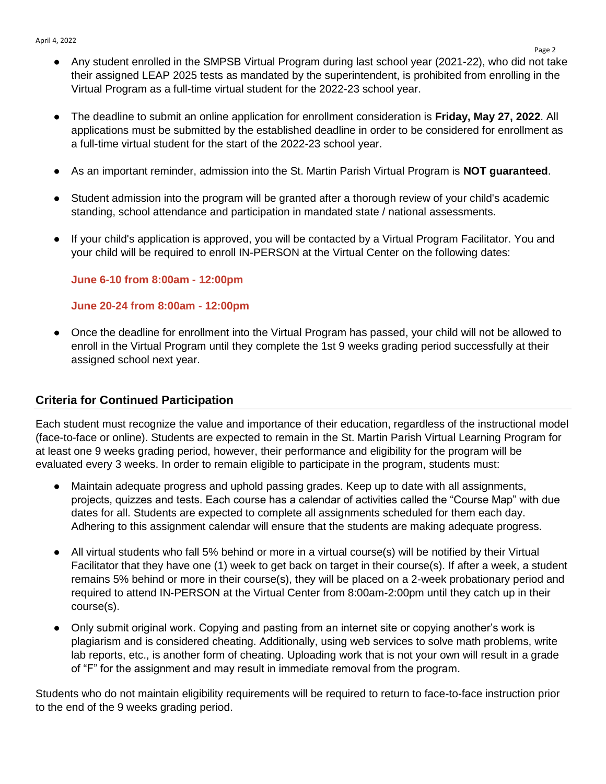- Any student enrolled in the SMPSB Virtual Program during last school year (2021-22), who did not take their assigned LEAP 2025 tests as mandated by the superintendent, is prohibited from enrolling in the Virtual Program as a full-time virtual student for the 2022-23 school year.
- The deadline to submit an online application for enrollment consideration is **Friday, May 27, 2022**. All applications must be submitted by the established deadline in order to be considered for enrollment as a full-time virtual student for the start of the 2022-23 school year.
- As an important reminder, admission into the St. Martin Parish Virtual Program is **NOT guaranteed**.
- Student admission into the program will be granted after a thorough review of your child's academic standing, school attendance and participation in mandated state / national assessments.
- If your child's application is approved, you will be contacted by a Virtual Program Facilitator. You and your child will be required to enroll IN-PERSON at the Virtual Center on the following dates:

**June 6-10 from 8:00am - 12:00pm**

#### **June 20-24 from 8:00am - 12:00pm**

● Once the deadline for enrollment into the Virtual Program has passed, your child will not be allowed to enroll in the Virtual Program until they complete the 1st 9 weeks grading period successfully at their assigned school next year.

#### **Criteria for Continued Participation**

Each student must recognize the value and importance of their education, regardless of the instructional model (face-to-face or online). Students are expected to remain in the St. Martin Parish Virtual Learning Program for at least one 9 weeks grading period, however, their performance and eligibility for the program will be evaluated every 3 weeks. In order to remain eligible to participate in the program, students must:

- Maintain adequate progress and uphold passing grades. Keep up to date with all assignments, projects, quizzes and tests. Each course has a calendar of activities called the "Course Map" with due dates for all. Students are expected to complete all assignments scheduled for them each day. Adhering to this assignment calendar will ensure that the students are making adequate progress.
- All virtual students who fall 5% behind or more in a virtual course(s) will be notified by their Virtual Facilitator that they have one (1) week to get back on target in their course(s). If after a week, a student remains 5% behind or more in their course(s), they will be placed on a 2-week probationary period and required to attend IN-PERSON at the Virtual Center from 8:00am-2:00pm until they catch up in their course(s).
- Only submit original work. Copying and pasting from an internet site or copying another's work is plagiarism and is considered cheating. Additionally, using web services to solve math problems, write lab reports, etc., is another form of cheating. Uploading work that is not your own will result in a grade of "F" for the assignment and may result in immediate removal from the program.

Students who do not maintain eligibility requirements will be required to return to face-to-face instruction prior to the end of the 9 weeks grading period.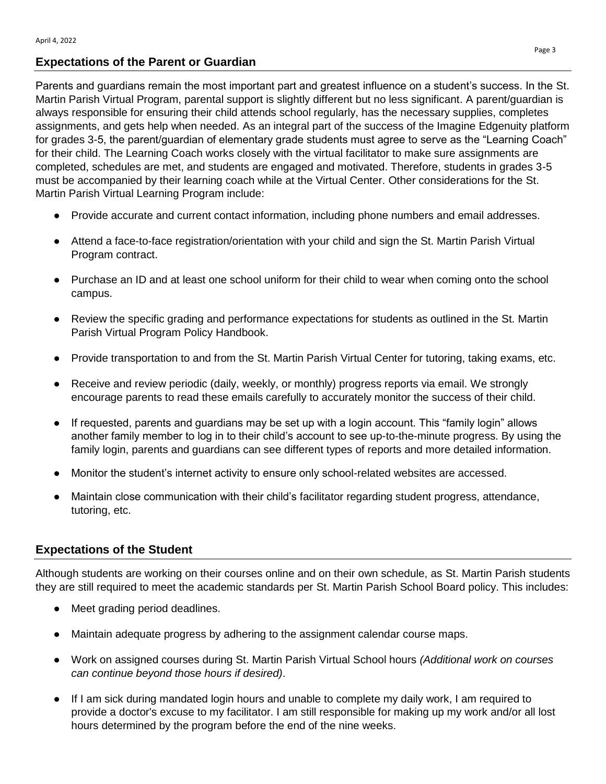#### **Expectations of the Parent or Guardian**

Parents and guardians remain the most important part and greatest influence on a student's success. In the St. Martin Parish Virtual Program, parental support is slightly different but no less significant. A parent/guardian is always responsible for ensuring their child attends school regularly, has the necessary supplies, completes assignments, and gets help when needed. As an integral part of the success of the Imagine Edgenuity platform for grades 3-5, the parent/guardian of elementary grade students must agree to serve as the "Learning Coach" for their child. The Learning Coach works closely with the virtual facilitator to make sure assignments are completed, schedules are met, and students are engaged and motivated. Therefore, students in grades 3-5 must be accompanied by their learning coach while at the Virtual Center. Other considerations for the St. Martin Parish Virtual Learning Program include:

- Provide accurate and current contact information, including phone numbers and email addresses.
- Attend a face-to-face registration/orientation with your child and sign the St. Martin Parish Virtual Program contract.
- Purchase an ID and at least one school uniform for their child to wear when coming onto the school campus.
- Review the specific grading and performance expectations for students as outlined in the St. Martin Parish Virtual Program Policy Handbook.
- Provide transportation to and from the St. Martin Parish Virtual Center for tutoring, taking exams, etc.
- Receive and review periodic (daily, weekly, or monthly) progress reports via email. We strongly encourage parents to read these emails carefully to accurately monitor the success of their child.
- If requested, parents and quardians may be set up with a login account. This "family login" allows another family member to log in to their child's account to see up-to-the-minute progress. By using the family login, parents and guardians can see different types of reports and more detailed information.
- Monitor the student's internet activity to ensure only school-related websites are accessed.
- Maintain close communication with their child's facilitator regarding student progress, attendance, tutoring, etc.

#### **Expectations of the Student**

Although students are working on their courses online and on their own schedule, as St. Martin Parish students they are still required to meet the academic standards per St. Martin Parish School Board policy. This includes:

- Meet grading period deadlines.
- Maintain adequate progress by adhering to the assignment calendar course maps.
- Work on assigned courses during St. Martin Parish Virtual School hours *(Additional work on courses can continue beyond those hours if desired)*.
- If I am sick during mandated login hours and unable to complete my daily work, I am required to provide a doctor's excuse to my facilitator. I am still responsible for making up my work and/or all lost hours determined by the program before the end of the nine weeks.